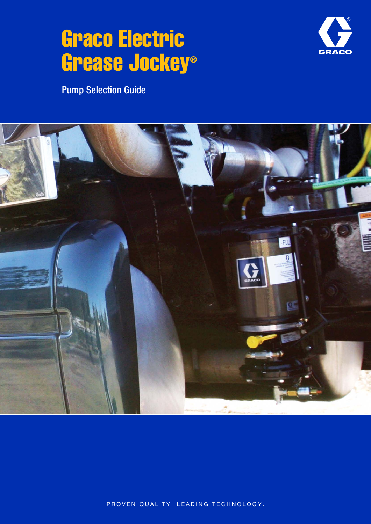# Graco Electric Grease Jockey®



Pump Selection Guide



PROVEN QUALITY. LEADING TECHNOLOGY.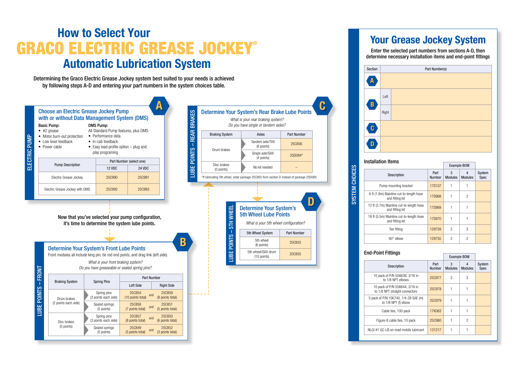Determining the Graco Electric Grease Jockey system best suited to your needs is achieved by following steps A-D and entering your part numbers in the system choices table.

# How to Select Your **GRACO ELECTRIC GREASE JOCKEY®** Automatic Lubrication System



### Your Grease Jockey System

#### Enter the selected part numbers from sections A-D, then determine necessary installation items and end-point fittings

| Part Number(s) |  |
|----------------|--|
|                |  |
|                |  |
|                |  |
|                |  |
|                |  |
|                |  |
|                |  |
|                |  |
|                |  |

| יווטנעווענוטוו ונטוווט                                      |                       | <b>Example BOM</b>  |                     |                |
|-------------------------------------------------------------|-----------------------|---------------------|---------------------|----------------|
| <b>Description</b>                                          | Part<br><b>Number</b> | 3<br><b>Modules</b> | 4<br><b>Modules</b> | System<br>Spec |
| Pump mounting bracket                                       | 17S107                |                     |                     |                |
| 6 ft (1.8m) Mainline cut-to-length hose<br>and fitting kit  | <b>17S968</b>         |                     | $\overline{2}$      |                |
| 12 ft (3.7m) Mainline cut-to-length hose<br>and fitting kit | <b>17S969</b>         |                     |                     |                |
| 18 ft (5.5m) Mainline cut-to-length hose<br>and fitting kit | 17S970                |                     |                     |                |
| Tee fitting                                                 | 129759                | $\overline{2}$      | 3                   |                |
| $90^\circ$ elbow                                            | 129755                | 2                   | $\overline{2}$      |                |
|                                                             |                       |                     |                     |                |

#### Installation Items

|                                                                  |                       | <b>Example BOM</b>  |                     |                       |
|------------------------------------------------------------------|-----------------------|---------------------|---------------------|-----------------------|
| Description                                                      | Part<br><b>Number</b> | 3<br><b>Modules</b> | 4<br><b>Modules</b> | System<br><b>Spec</b> |
| 10 pack of P/N 556638, 3/16 in<br>to 1/8 NPT elbows              | 25C977                | 2                   | 3                   |                       |
| 10 pack of P/N 556644, 3/16 in<br>to 1/8 NPT straight connectors | 25C978                |                     |                     |                       |
| 5 pack of P/N 15K740, 1/4-28 SAE (m)<br>to 1/8 NPT (f) elbow     | 25C979                |                     |                     |                       |
| Cable ties, 100 pack                                             | 17K063                |                     |                     |                       |
| Figure-8 cable ties, 10 pack                                     | <b>25C980</b>         |                     | 2                   |                       |
| NLGI#1 GC-LB on-road mobile lubricant                            | 131217                |                     |                     |                       |

#### End-Point Fittings

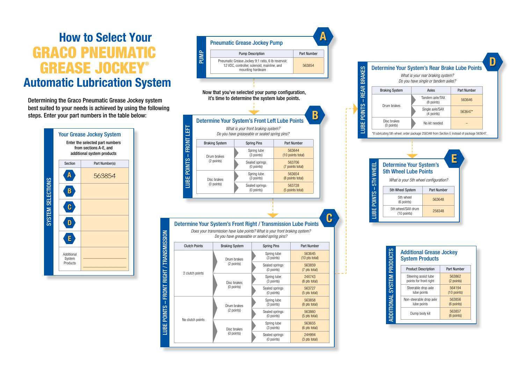## How to Select Your GRACO PNEUMATIC GREASE JOCKEY® Automatic Lubrication System

Determining the Graco Pneumatic Grease Jockey system best suited to your needs is achieved by using the following steps. Enter your part numbers in the table below:



LUBE POINTS – FRONT RIGHT / TRANSMISSION

LUBE POINTS - FRONT RIGHT / TRANSMISSION

| <b>Additional Grease Jockey</b><br><b>System Products</b> |                      |  |
|-----------------------------------------------------------|----------------------|--|
| <b>Product Description</b>                                | Part Number          |  |
| Steering assist lube                                      | 563862               |  |
| points for front right                                    | (2 points)           |  |
| Steerable drop axle                                       | 564194               |  |
| lube points                                               | $(10$ points)        |  |
| Non-steerable drop axle                                   | 563856               |  |
| lube points                                               | (6 points)           |  |
| Dump body kit                                             | 563857<br>(6 points) |  |





D

| king System               | Axles                         | <b>Part Number</b> |
|---------------------------|-------------------------------|--------------------|
| rum brakes                | Tandem axle/TAX<br>(8 points) | 563646             |
|                           | Single axle/SAX<br>(4 points) | 563647*            |
| lisc brakes<br>(0 points) | No kit needed                 |                    |

*What is your rear braking system? Do you have single or tandem axles?*

### Determine Your System's Rear Brake Lube Points

\*If lubricating 5th wheel, order package 258348 from Section E instead of package 563647.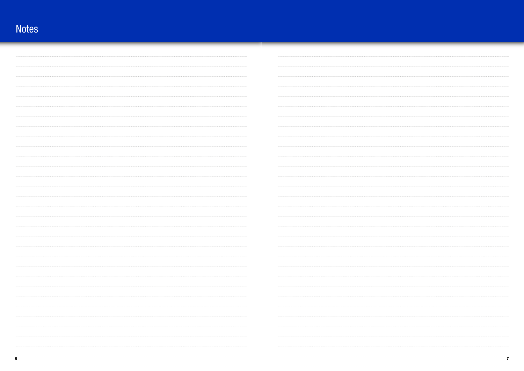### Notes

| .     |                                                                                                                                                                                                                                                                                                                                                                                                                                        |
|-------|----------------------------------------------------------------------------------------------------------------------------------------------------------------------------------------------------------------------------------------------------------------------------------------------------------------------------------------------------------------------------------------------------------------------------------------|
| <br>. | .                                                                                                                                                                                                                                                                                                                                                                                                                                      |
|       | .                                                                                                                                                                                                                                                                                                                                                                                                                                      |
|       |                                                                                                                                                                                                                                                                                                                                                                                                                                        |
|       |                                                                                                                                                                                                                                                                                                                                                                                                                                        |
| .     | $\begin{minipage}{.4\linewidth} \begin{tabular}{l} \textbf{1} & \textbf{2} & \textbf{3} & \textbf{4} & \textbf{5} & \textbf{6} & \textbf{6} & \textbf{7} & \textbf{8} & \textbf{9} & \textbf{10} & \textbf{10} & \textbf{10} & \textbf{10} & \textbf{10} & \textbf{10} & \textbf{10} & \textbf{10} & \textbf{10} & \textbf{10} & \textbf{10} & \textbf{10} & \textbf{10} & \textbf{10} & \textbf{10} & \textbf{10} & \text$<br>        |
| .     | .                                                                                                                                                                                                                                                                                                                                                                                                                                      |
| .     | $\begin{minipage}{0.9\textwidth} \begin{tabular}{l} \textbf{m} & \textbf{m} & \textbf{m} & \textbf{m} & \textbf{m} & \textbf{m} & \textbf{m} & \textbf{m} & \textbf{m} & \textbf{m} & \textbf{m} & \textbf{m} & \textbf{m} & \textbf{m} & \textbf{m} & \textbf{m} & \textbf{m} & \textbf{m} & \textbf{m} & \textbf{m} & \textbf{m} & \textbf{m} & \textbf{m} & \textbf{m} & \textbf{m} & \textbf{m} & \textbf{m} & \textbf{m} & \text$ |
|       |                                                                                                                                                                                                                                                                                                                                                                                                                                        |
|       |                                                                                                                                                                                                                                                                                                                                                                                                                                        |